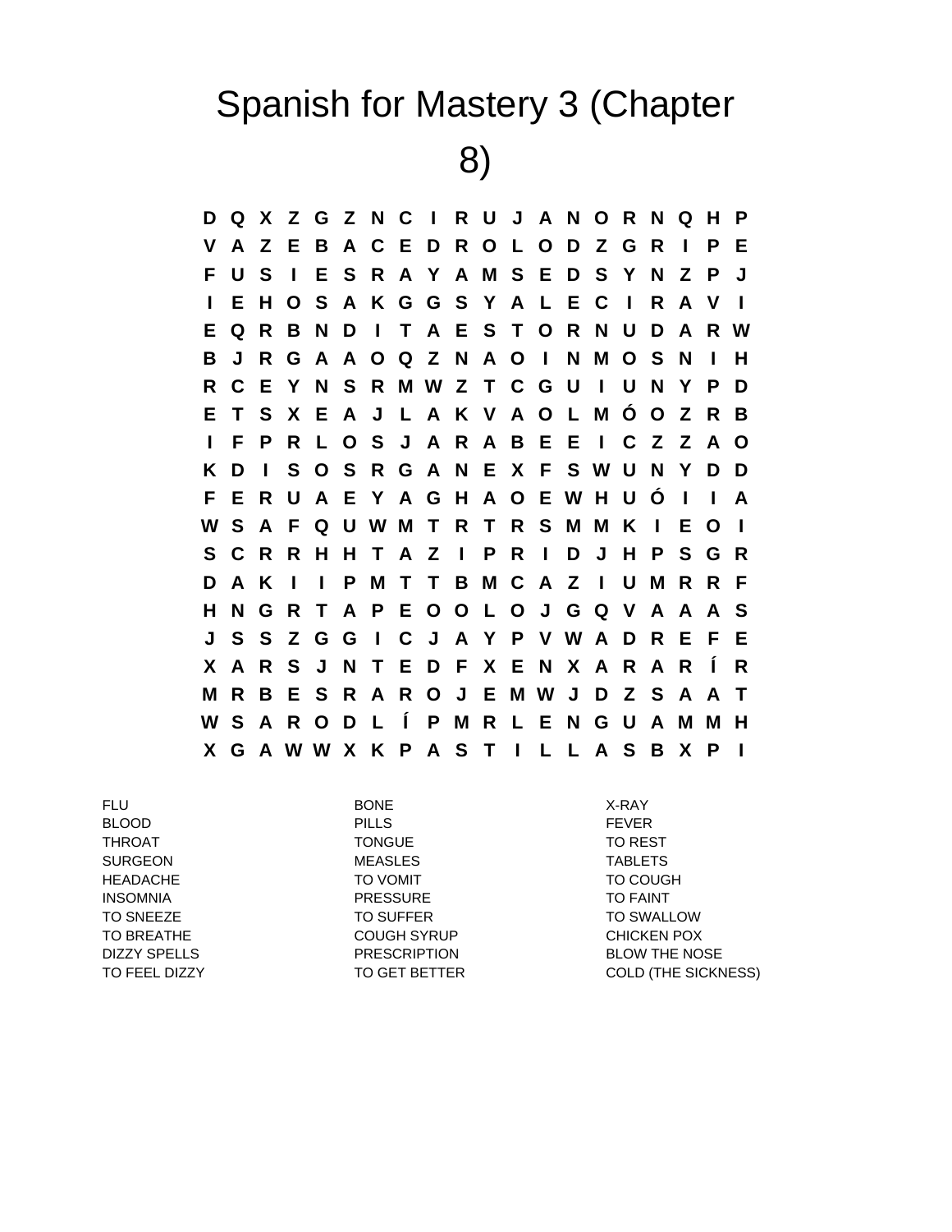## Spanish for Mastery 3 (Chapter

8)

**D Q X Z G Z N C I R U J A N O R N Q H P V A Z E B A C E D R O L O D Z G R I P E F U S I E S R A Y A M S E D S Y N Z P J I E H O S A K G G S Y A L E C I R A V I E Q R B N D I T A E S T O R N U D A R W B J R G A A O Q Z N A O I N M O S N I H R C E Y N S R M W Z T C G U I U N Y P D E T S X E A J L A K V A O L M Ó O Z R B I F P R L O S J A R A B E E I C Z Z A O K D I S O S R G A N E X F S W U N Y D D F E R U A E Y A G H A O E W H U Ó I I A W S A F Q U W M T R T R S M M K I E O I S C R R H H T A Z I P R I D J H P S G R D A K I I P M T T B M C A Z I U M R R F H N G R T A P E O O L O J G Q V A A A S J S S Z G G I C J A Y P V W A D R E F E X A R S J N T E D F X E N X A R A R Í R M R B E S R A R O J E M W J D Z S A A T W S A R O D L Í P M R L E N G U A M M H X G A W W X K P A S T I L L A S B X P I**

FLU BONE X-RAY BLOOD PILLS FEVER THROAT TONGUE TO REST SURGEON MEASLES TABLETS HEADACHE TO VOMIT TO VOMIT TO VOOLSH INSOMNIA **PRESSURE TO FAINT** TO SNEEZE TO SUFFER TO SOFFER TO SWALLOW TO BREATHE **COUGH SYRUP** COUGH SYRUP **CHICKEN POX** 

DIZZY SPELLS PRESCRIPTION BLOW THE NOSE TO FEEL DIZZY TO GET BETTER COLD (THE SICKNESS)